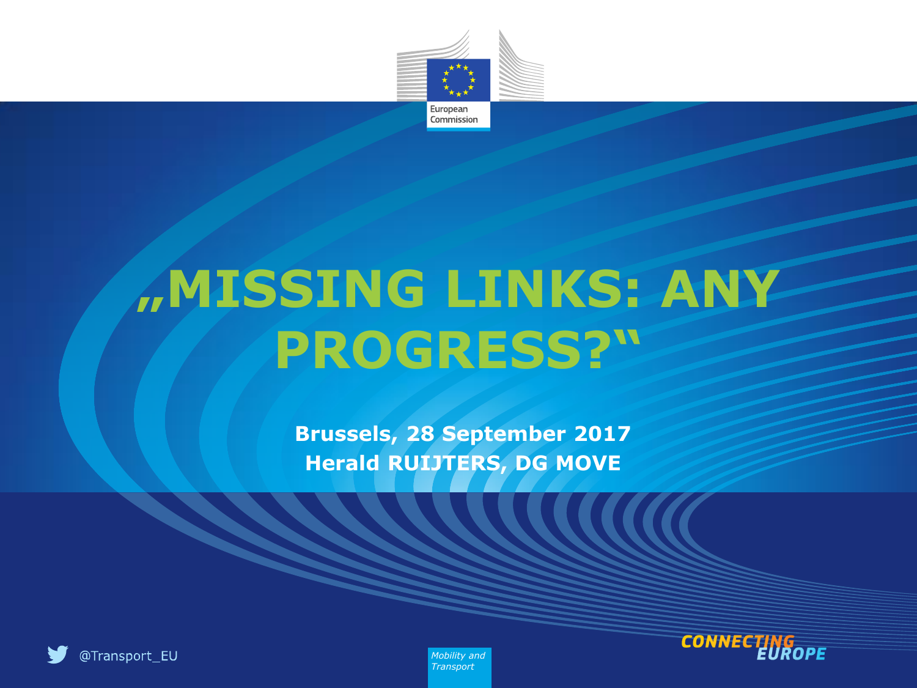

# **"MISSING LINKS: ANY PROGRESS?"**

**Brussels, 28 September 2017 Herald RUIJTERS, DG MOVE**





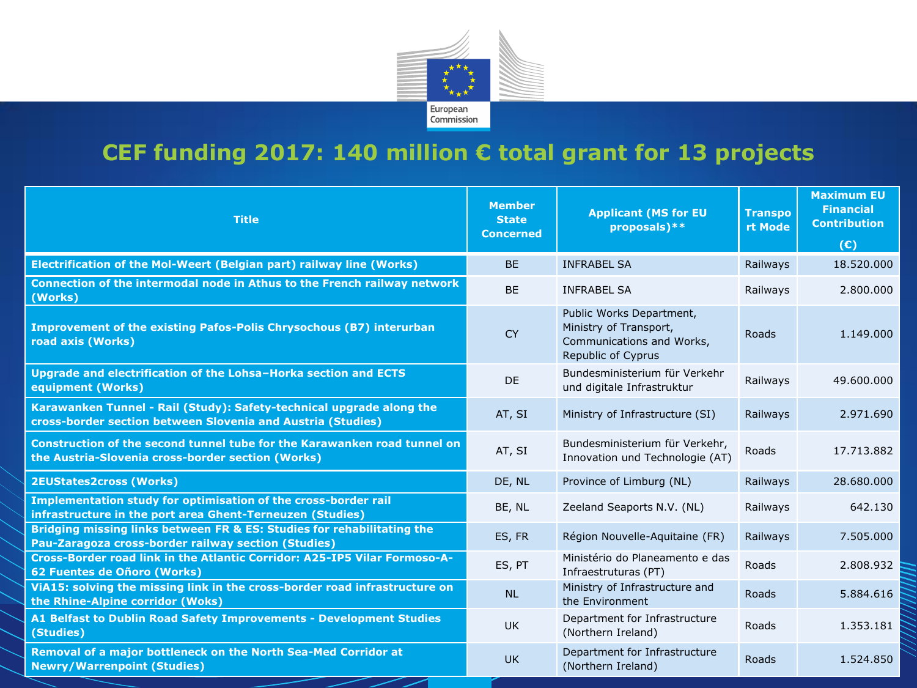

#### **CEF funding 2017: 140 million € total grant for 13 projects**

| <b>Title</b>                                                                                                                        | <b>Member</b><br><b>State</b><br><b>Concerned</b> | <b>Applicant (MS for EU</b><br>proposals)**                                                           | <b>Transpo</b><br>rt Mode | <b>Maximum EU</b><br><b>Financial</b><br><b>Contribution</b><br>(E) |
|-------------------------------------------------------------------------------------------------------------------------------------|---------------------------------------------------|-------------------------------------------------------------------------------------------------------|---------------------------|---------------------------------------------------------------------|
| Electrification of the Mol-Weert (Belgian part) railway line (Works)                                                                | <b>BE</b>                                         | <b>INFRABEL SA</b>                                                                                    | Railways                  | 18,520,000                                                          |
| Connection of the intermodal node in Athus to the French railway network<br>(Works)                                                 | <b>BE</b>                                         | <b>INFRABEL SA</b>                                                                                    | Railways                  | 2.800.000                                                           |
| Improvement of the existing Pafos-Polis Chrysochous (B7) interurban<br>road axis (Works)                                            | <b>CY</b>                                         | Public Works Department,<br>Ministry of Transport,<br>Communications and Works,<br>Republic of Cyprus | Roads                     | 1.149.000                                                           |
| Upgrade and electrification of the Lohsa-Horka section and ECTS<br>equipment (Works)                                                | <b>DE</b>                                         | Bundesministerium für Verkehr<br>und digitale Infrastruktur                                           | Railways                  | 49.600.000                                                          |
| Karawanken Tunnel - Rail (Study): Safety-technical upgrade along the<br>cross-border section between Slovenia and Austria (Studies) | AT, SI                                            | Ministry of Infrastructure (SI)                                                                       | Railways                  | 2.971.690                                                           |
| Construction of the second tunnel tube for the Karawanken road tunnel on<br>the Austria-Slovenia cross-border section (Works)       | AT, SI                                            | Bundesministerium für Verkehr,<br>Innovation und Technologie (AT)                                     | Roads                     | 17.713.882                                                          |
| <b>2EUStates2cross (Works)</b>                                                                                                      | DE, NL                                            | Province of Limburg (NL)                                                                              | Railways                  | 28.680.000                                                          |
| Implementation study for optimisation of the cross-border rail<br>infrastructure in the port area Ghent-Terneuzen (Studies)         | BE, NL                                            | Zeeland Seaports N.V. (NL)                                                                            | Railways                  | 642.130                                                             |
| Bridging missing links between FR & ES: Studies for rehabilitating the<br>Pau-Zaragoza cross-border railway section (Studies)       | ES, FR                                            | Région Nouvelle-Aquitaine (FR)                                                                        | Railways                  | 7.505.000                                                           |
| Cross-Border road link in the Atlantic Corridor: A25-IP5 Vilar Formoso-A-<br>62 Fuentes de Oñoro (Works)                            | ES, PT                                            | Ministério do Planeamento e das<br>Infraestruturas (PT)                                               | Roads                     | 2.808.932                                                           |
| ViA15: solving the missing link in the cross-border road infrastructure on<br>the Rhine-Alpine corridor (Woks)                      | <b>NL</b>                                         | Ministry of Infrastructure and<br>the Environment                                                     | Roads                     | 5.884.616                                                           |
| A1 Belfast to Dublin Road Safety Improvements - Development Studies<br>(Studies)                                                    | UK                                                | Department for Infrastructure<br>(Northern Ireland)                                                   | Roads                     | 1.353.181                                                           |
| Removal of a major bottleneck on the North Sea-Med Corridor at<br><b>Newry/Warrenpoint (Studies)</b>                                | <b>UK</b>                                         | Department for Infrastructure<br>(Northern Ireland)                                                   | Roads                     | 1.524.850                                                           |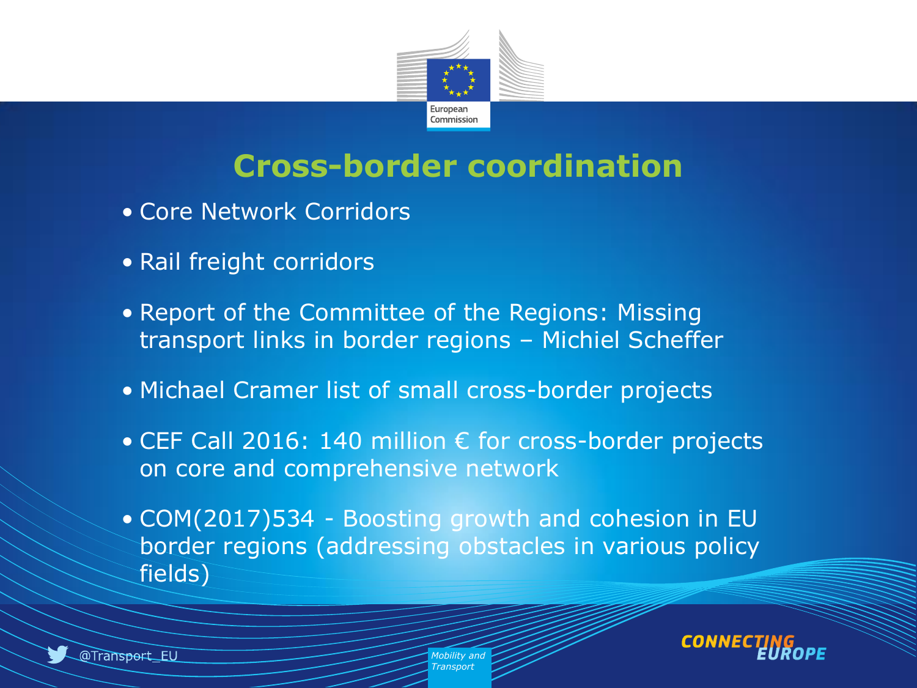

#### **Cross-border coordination**

- Core Network Corridors
- Rail freight corridors
- Report of the Committee of the Regions: Missing transport links in border regions – Michiel Scheffer
- Michael Cramer list of small cross-border projects
- CEF Call 2016: 140 million € for cross-border projects on core and comprehensive network
- COM(2017)534 Boosting growth and cohesion in EU border regions (addressing obstacles in various policy fields)



*Mobility and Transpor*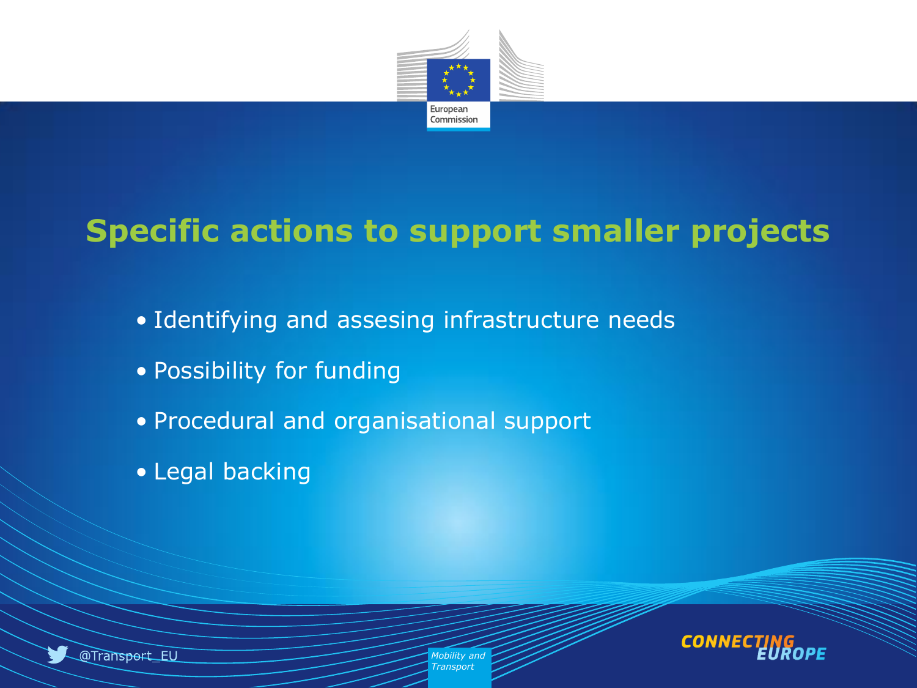

### **Specific actions to support smaller projects**

- Identifying and assesing infrastructure needs
- Possibility for funding
- Procedural and organisational support
- Legal backing



*Mobility and Transport*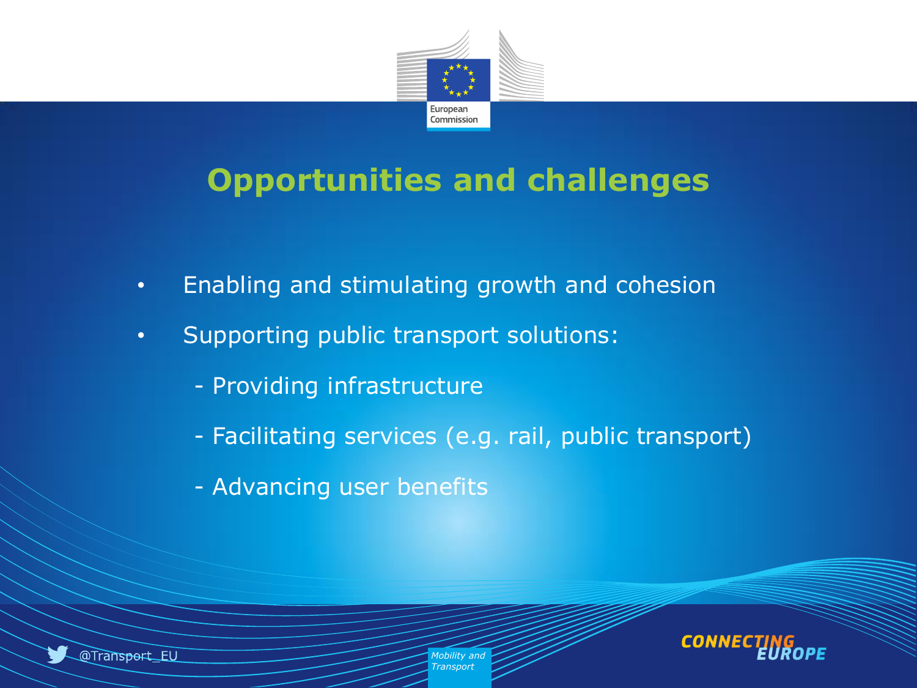

#### **Opportunities and challenges**

- Enabling and stimulating growth and cohesion
- Supporting public transport solutions:
	- Providing infrastructure
	- Facilitating services (e.g. rail, public transport)
	- Advancing user benefits



*Mobility and Transport*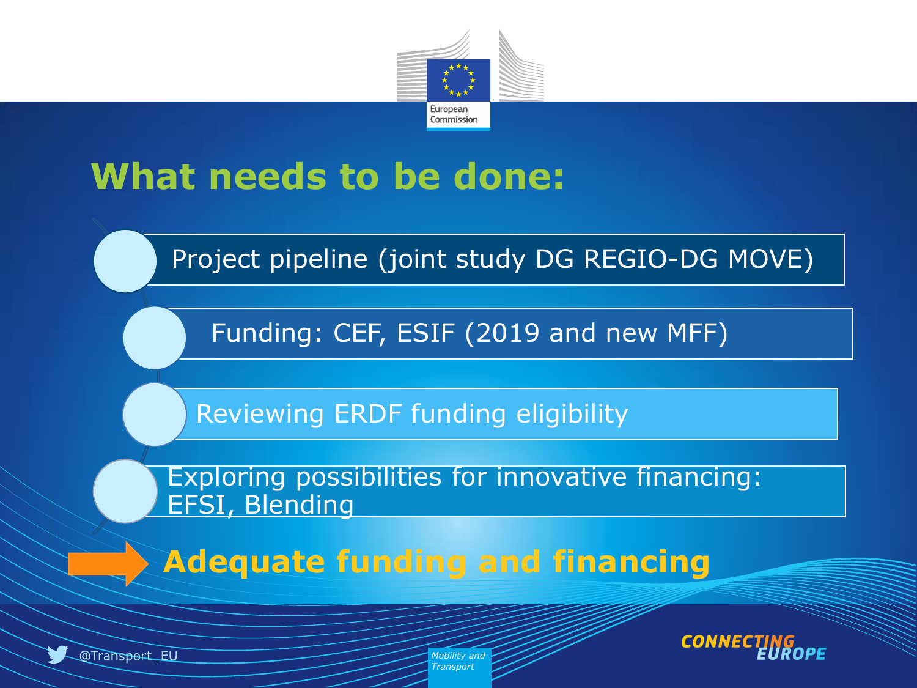

# **What needs to be done:**

Project pipeline (joint study DG REGIO-DG MOVE)

Funding: CEF, ESIF (2019 and new MFF)

Reviewing ERDF funding eligibility

Exploring possibilities for innovative financing: EFSI, Blending

 **Adequate funding and financing**



@Transport\_EU

*Mobility and Transport*

**CONN**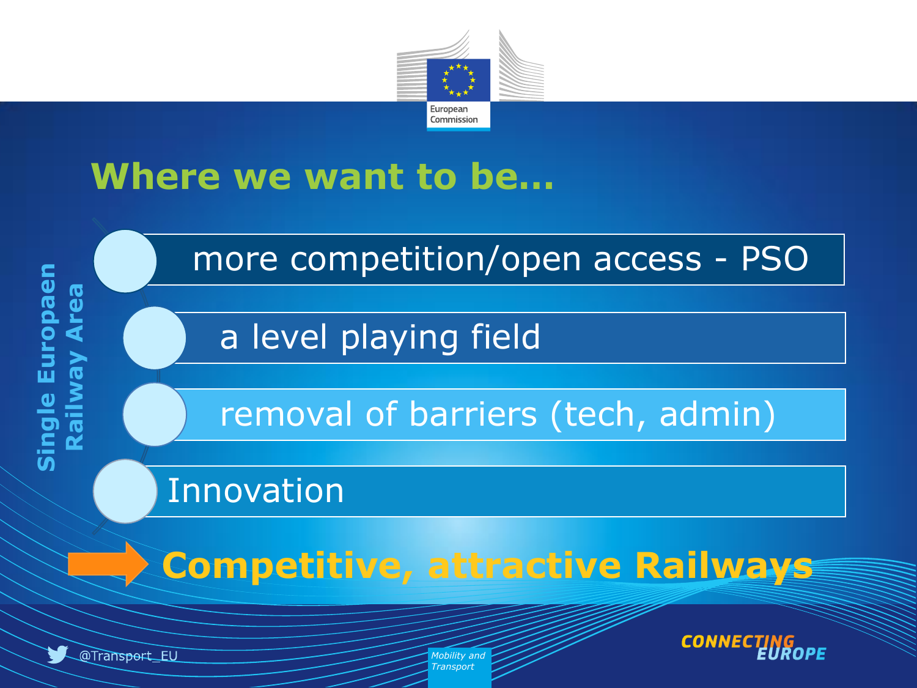

## **Where we want to be…**



*Mobility and Transport*

@Transport\_EU